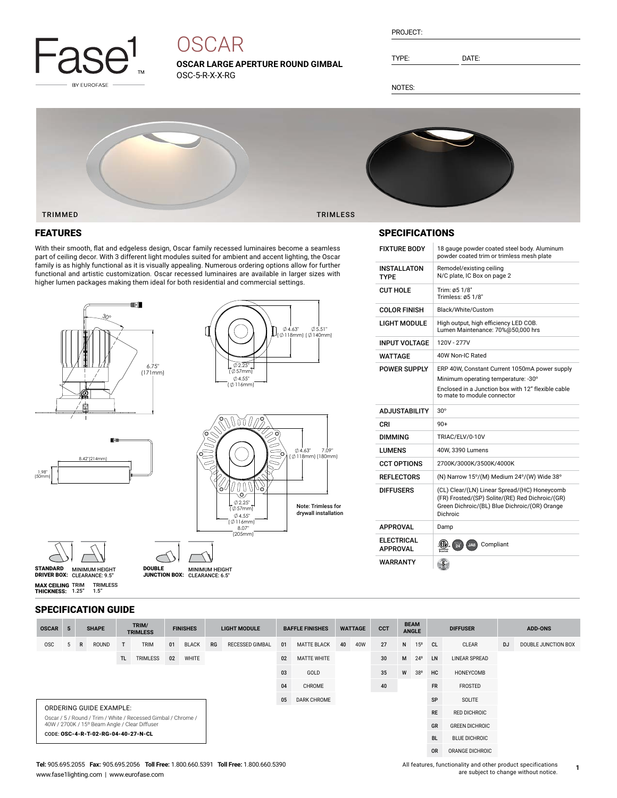

# **OSCAR**

**OSCAR LARGE APERTURE ROUND GIMBAL** OSC-5-R-X-X-RG

| PROJECT: |  |
|----------|--|
|          |  |

TYPE: DATE:

NOTES:



### FEATURES

With their smooth, flat and edgeless design, Oscar family recessed luminaires become a seamless part of ceiling decor. With 3 different light modules suited for ambient and accent lighting, the Oscar family is as highly functional as it is visually appealing. Numerous ordering options allow for further functional and artistic customization. Oscar recessed luminaires are available in larger sizes with higher lumen packages making them ideal for both residential and commercial settings.





DRIVER BOX: MINIMUM HEIGHT CLEARANCE: 6.5" DOUBLE JUNCTION BOX:

8.07" (205mm)

∜4.55 (704.55<br>( 116mm) 2.25" ( 57mm)

STANDARD MINIMUM HEIGHT<br>DRIVER BOX: CLEARANCE: 9.5" **MAX CEILING** TRIM<br>**THICKNESS:** 1.25" TRIMLESS 1.5"

#### SPECIFICATION GUIDE

| <b>OSCAR</b>                                                                                                   | 5 |              | <b>SHAPE</b> |     | TRIM/<br><b>TRIMLESS</b> |    | <b>FINISHES</b>    |      | <b>LIGHT MODULE</b>    |           | <b>BAFFLE FINISHES</b> | <b>WATTAGE</b> |           | <b>CCT</b>            | <b>BEAM</b><br><b>ANGLE</b> |                 | <b>DIFFUSER</b> |                      |           | <b>ADD-ONS</b>      |
|----------------------------------------------------------------------------------------------------------------|---|--------------|--------------|-----|--------------------------|----|--------------------|------|------------------------|-----------|------------------------|----------------|-----------|-----------------------|-----------------------------|-----------------|-----------------|----------------------|-----------|---------------------|
| <b>OSC</b>                                                                                                     | 5 | $\mathsf{R}$ | ROUND        | T   | <b>TRIM</b>              | 01 | <b>BLACK</b>       | RG   | <b>RECESSED GIMBAL</b> | 01        | <b>MATTE BLACK</b>     | 40             | 40W       | 27                    | N                           | 15 <sup>o</sup> | <sub>CL</sub>   | CLEAR                | <b>DJ</b> | DOUBLE JUNCTION BOX |
|                                                                                                                |   |              |              | TL. | <b>TRIMLESS</b>          | 02 | WHITE              |      |                        | 02        | <b>MATTE WHITE</b>     |                |           | 30 <sup>°</sup>       | M                           | $24^{\circ}$    | LN              | <b>LINEAR SPREAD</b> |           |                     |
|                                                                                                                |   |              |              |     |                          |    | 03                 | GOLD |                        |           | 35                     | W              | 38°       | <b>HC</b>             | HONEYCOMB                   |                 |                 |                      |           |                     |
|                                                                                                                |   |              |              |     |                          | 04 | <b>CHROME</b>      |      |                        | 40        | <b>FR</b><br>FROSTED   |                |           |                       |                             |                 |                 |                      |           |                     |
|                                                                                                                |   |              |              |     |                          | 05 | <b>DARK CHROME</b> |      |                        |           |                        | SP<br>SOLITE   |           |                       |                             |                 |                 |                      |           |                     |
| ORDERING GUIDE EXAMPLE:                                                                                        |   |              |              |     |                          |    |                    |      |                        | <b>RE</b> | <b>RED DICHROIC</b>    |                |           |                       |                             |                 |                 |                      |           |                     |
| Oscar / 5 / Round / Trim / White / Recessed Gimbal / Chrome /<br>40W / 2700K / 15° Beam Angle / Clear Diffuser |   |              |              |     |                          |    |                    |      |                        |           |                        |                | GR        | <b>GREEN DICHROIC</b> |                             |                 |                 |                      |           |                     |
| CODE: OSC-4-R-T-02-RG-04-40-27-N-CL                                                                            |   |              |              |     |                          |    |                    |      |                        |           |                        |                | <b>BL</b> | <b>BLUE DICHROIC</b>  |                             |                 |                 |                      |           |                     |
|                                                                                                                |   |              |              |     |                          |    |                    |      |                        |           |                        |                |           |                       |                             |                 | <b>OR</b>       | ORANGE DICHROIC      |           |                     |

Note: Trimless for drywall installation

### SPECIFICATIONS

| <b>FIXTURE BODY</b>                  | 18 gauge powder coated steel body. Aluminum<br>powder coated trim or trimless mesh plate                                                                     |
|--------------------------------------|--------------------------------------------------------------------------------------------------------------------------------------------------------------|
| <b>INSTALLATON</b><br>TYPF           | Remodel/existing ceiling<br>N/C plate, IC Box on page 2                                                                                                      |
| CUT HOLF                             | Trim: ø5 1/8"<br>Trimless: ø5 1/8"                                                                                                                           |
| <b>COLOR FINISH</b>                  | Black/White/Custom                                                                                                                                           |
| LIGHT MODULE                         | High output, high efficiency LED COB.<br>Lumen Maintenance: 70%@50.000 hrs                                                                                   |
| <b>INPUT VOLTAGE</b>                 | 120V - 277V                                                                                                                                                  |
| WATTAGF                              | 40W Non-IC Rated                                                                                                                                             |
| <b>POWER SUPPLY</b>                  | ERP 40W, Constant Current 1050mA power supply                                                                                                                |
|                                      | Minimum operating temperature: -30°                                                                                                                          |
|                                      | Enclosed in a Junction box with 12" flexible cable<br>to mate to module connector                                                                            |
|                                      |                                                                                                                                                              |
| <b>ADJUSTABILITY</b>                 | $30^\circ$                                                                                                                                                   |
| CRI                                  | $90+$                                                                                                                                                        |
| DIMMING                              | TRIAC/ELV/0-10V                                                                                                                                              |
| <b>LUMENS</b>                        | 40W, 3390 Lumens                                                                                                                                             |
| <b>CCT OPTIONS</b>                   | 2700K/3000K/3500K/4000K                                                                                                                                      |
| <b>REFLECTORS</b>                    | (N) Narrow 15°/(M) Medium 24°/(W) Wide 38°                                                                                                                   |
| <b>DIFFUSERS</b>                     | (CL) Clear/(LN) Linear Spread/(HC) Honeycomb<br>(FR) Frosted/(SP) Solite/(RE) Red Dichroic/(GR)<br>Green Dichroic/(BL) Blue Dichroic/(OR) Orange<br>Dichroic |
| <b>APPROVAL</b>                      | Damp                                                                                                                                                         |
| <b>ELECTRICAL</b><br><b>APPROVAL</b> | $\frac{1}{24}$<br>Compliant<br>JAB                                                                                                                           |

All features, functionality and other product specifications are subject to change without notice.

**1**